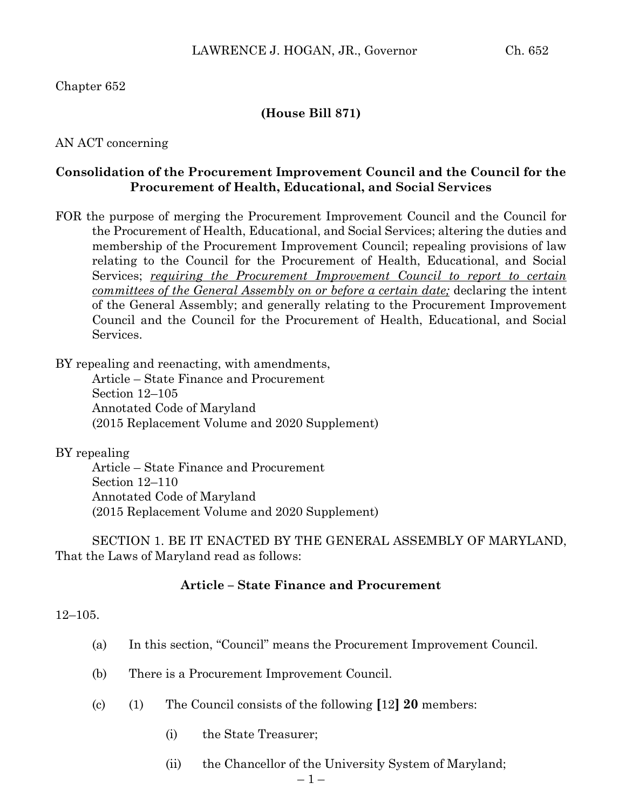# Chapter 652

### **(House Bill 871)**

### AN ACT concerning

# **Consolidation of the Procurement Improvement Council and the Council for the Procurement of Health, Educational, and Social Services**

FOR the purpose of merging the Procurement Improvement Council and the Council for the Procurement of Health, Educational, and Social Services; altering the duties and membership of the Procurement Improvement Council; repealing provisions of law relating to the Council for the Procurement of Health, Educational, and Social Services; *requiring the Procurement Improvement Council to report to certain committees of the General Assembly on or before a certain date;* declaring the intent of the General Assembly; and generally relating to the Procurement Improvement Council and the Council for the Procurement of Health, Educational, and Social Services.

BY repealing and reenacting, with amendments,

Article – State Finance and Procurement Section 12–105 Annotated Code of Maryland (2015 Replacement Volume and 2020 Supplement)

BY repealing

Article – State Finance and Procurement Section 12–110 Annotated Code of Maryland (2015 Replacement Volume and 2020 Supplement)

SECTION 1. BE IT ENACTED BY THE GENERAL ASSEMBLY OF MARYLAND, That the Laws of Maryland read as follows:

## **Article – State Finance and Procurement**

### 12–105.

- (a) In this section, "Council" means the Procurement Improvement Council.
- (b) There is a Procurement Improvement Council.
- (c) (1) The Council consists of the following **[**12**] 20** members:
	- (i) the State Treasurer;
	- (ii) the Chancellor of the University System of Maryland;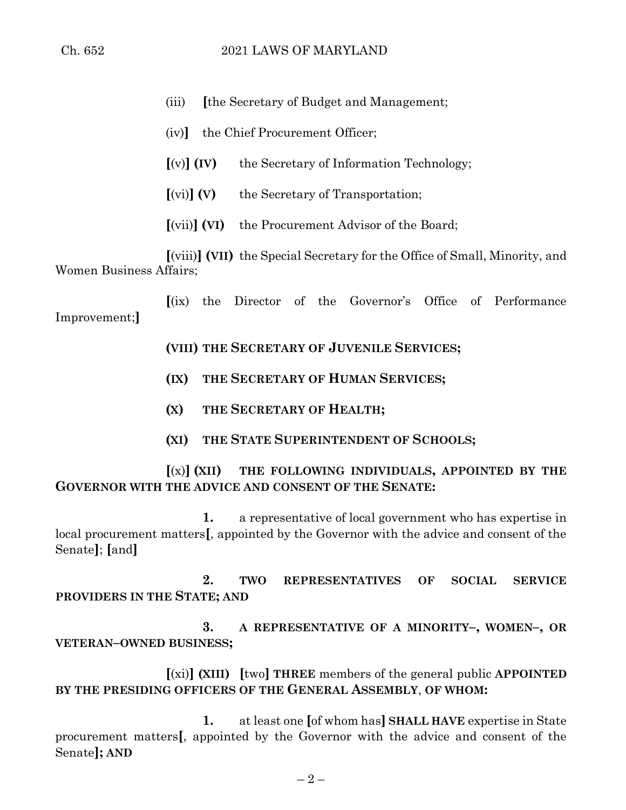- (iii) **[**the Secretary of Budget and Management;
- (iv)**]** the Chief Procurement Officer;
- **[**(v)**] (IV)** the Secretary of Information Technology;
- **[**(vi)**] (V)** the Secretary of Transportation;
- **[**(vii)**] (VI)** the Procurement Advisor of the Board;

**[**(viii)**] (VII)** the Special Secretary for the Office of Small, Minority, and Women Business Affairs;

**[**(ix) the Director of the Governor's Office of Performance Improvement;**]**

**(VIII) THE SECRETARY OF JUVENILE SERVICES;**

- **(IX) THE SECRETARY OF HUMAN SERVICES;**
- **(X) THE SECRETARY OF HEALTH;**
- **(XI) THE STATE SUPERINTENDENT OF SCHOOLS;**

**[**(x)**] (XII) THE FOLLOWING INDIVIDUALS, APPOINTED BY THE GOVERNOR WITH THE ADVICE AND CONSENT OF THE SENATE:**

**1.** a representative of local government who has expertise in local procurement matters**[**, appointed by the Governor with the advice and consent of the Senate**]**; **[**and**]**

**2. TWO REPRESENTATIVES OF SOCIAL SERVICE PROVIDERS IN THE STATE; AND**

**3. A REPRESENTATIVE OF A MINORITY–, WOMEN–, OR VETERAN–OWNED BUSINESS;**

**[**(xi)**] (XIII) [**two**] THREE** members of the general public **APPOINTED BY THE PRESIDING OFFICERS OF THE GENERAL ASSEMBLY**, **OF WHOM:**

**1.** at least one **[**of whom has**] SHALL HAVE** expertise in State procurement matters**[**, appointed by the Governor with the advice and consent of the Senate**]; AND**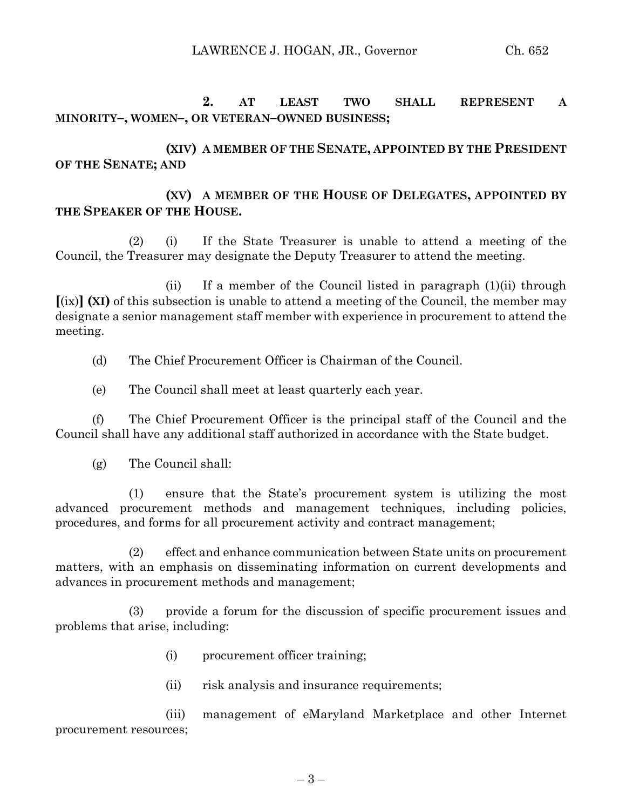LAWRENCE J. HOGAN, JR., Governor Ch. 652

**2. AT LEAST TWO SHALL REPRESENT A MINORITY–, WOMEN–, OR VETERAN–OWNED BUSINESS;**

**(XIV) A MEMBER OF THE SENATE, APPOINTED BY THE PRESIDENT OF THE SENATE; AND**

# **(XV) A MEMBER OF THE HOUSE OF DELEGATES, APPOINTED BY THE SPEAKER OF THE HOUSE.**

(2) (i) If the State Treasurer is unable to attend a meeting of the Council, the Treasurer may designate the Deputy Treasurer to attend the meeting.

(ii) If a member of the Council listed in paragraph (1)(ii) through **[**(ix)**] (XI)** of this subsection is unable to attend a meeting of the Council, the member may designate a senior management staff member with experience in procurement to attend the meeting.

(d) The Chief Procurement Officer is Chairman of the Council.

(e) The Council shall meet at least quarterly each year.

(f) The Chief Procurement Officer is the principal staff of the Council and the Council shall have any additional staff authorized in accordance with the State budget.

(g) The Council shall:

(1) ensure that the State's procurement system is utilizing the most advanced procurement methods and management techniques, including policies, procedures, and forms for all procurement activity and contract management;

(2) effect and enhance communication between State units on procurement matters, with an emphasis on disseminating information on current developments and advances in procurement methods and management;

(3) provide a forum for the discussion of specific procurement issues and problems that arise, including:

- (i) procurement officer training;
- (ii) risk analysis and insurance requirements;

(iii) management of eMaryland Marketplace and other Internet procurement resources;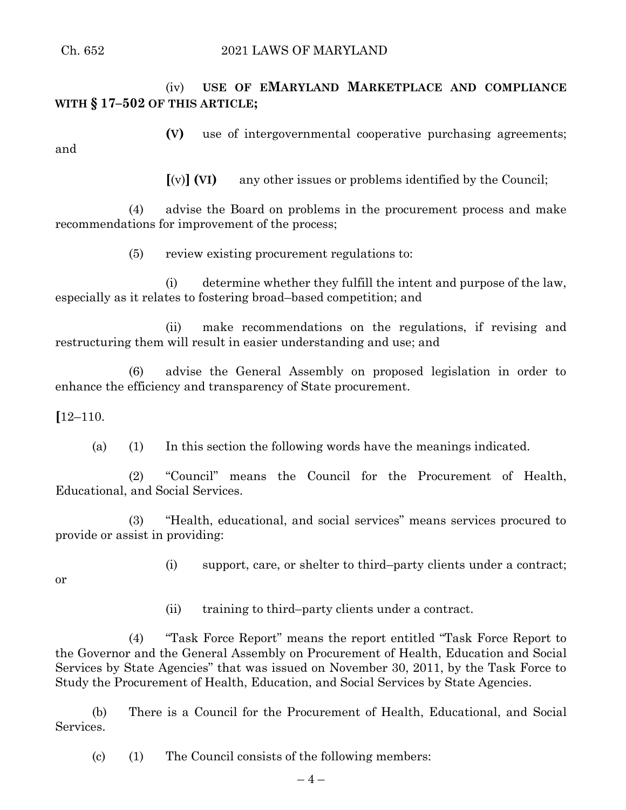(iv) **USE OF EMARYLAND MARKETPLACE AND COMPLIANCE WITH § 17–502 OF THIS ARTICLE;**

**(V)** use of intergovernmental cooperative purchasing agreements; and

**[**(v)**] (VI)** any other issues or problems identified by the Council;

(4) advise the Board on problems in the procurement process and make recommendations for improvement of the process;

(5) review existing procurement regulations to:

(i) determine whether they fulfill the intent and purpose of the law, especially as it relates to fostering broad–based competition; and

(ii) make recommendations on the regulations, if revising and restructuring them will result in easier understanding and use; and

(6) advise the General Assembly on proposed legislation in order to enhance the efficiency and transparency of State procurement.

**[**12–110.

(a) (1) In this section the following words have the meanings indicated.

(2) "Council" means the Council for the Procurement of Health, Educational, and Social Services.

(3) "Health, educational, and social services" means services procured to provide or assist in providing:

(i) support, care, or shelter to third–party clients under a contract;

or

(ii) training to third–party clients under a contract.

(4) "Task Force Report" means the report entitled "Task Force Report to the Governor and the General Assembly on Procurement of Health, Education and Social Services by State Agencies" that was issued on November 30, 2011, by the Task Force to Study the Procurement of Health, Education, and Social Services by State Agencies.

(b) There is a Council for the Procurement of Health, Educational, and Social Services.

(c) (1) The Council consists of the following members: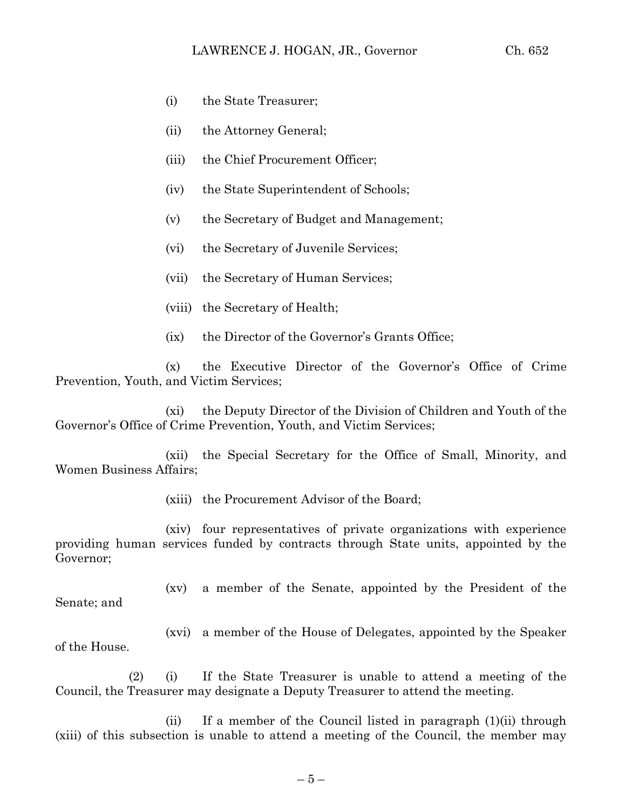- (i) the State Treasurer;
- (ii) the Attorney General;
- (iii) the Chief Procurement Officer;
- (iv) the State Superintendent of Schools;
- (v) the Secretary of Budget and Management;
- (vi) the Secretary of Juvenile Services;
- (vii) the Secretary of Human Services;
- (viii) the Secretary of Health;
- (ix) the Director of the Governor's Grants Office;

(x) the Executive Director of the Governor's Office of Crime Prevention, Youth, and Victim Services;

(xi) the Deputy Director of the Division of Children and Youth of the Governor's Office of Crime Prevention, Youth, and Victim Services;

(xii) the Special Secretary for the Office of Small, Minority, and Women Business Affairs;

(xiii) the Procurement Advisor of the Board;

(xiv) four representatives of private organizations with experience providing human services funded by contracts through State units, appointed by the Governor;

(xv) a member of the Senate, appointed by the President of the Senate; and

(xvi) a member of the House of Delegates, appointed by the Speaker of the House.

(2) (i) If the State Treasurer is unable to attend a meeting of the Council, the Treasurer may designate a Deputy Treasurer to attend the meeting.

(ii) If a member of the Council listed in paragraph (1)(ii) through (xiii) of this subsection is unable to attend a meeting of the Council, the member may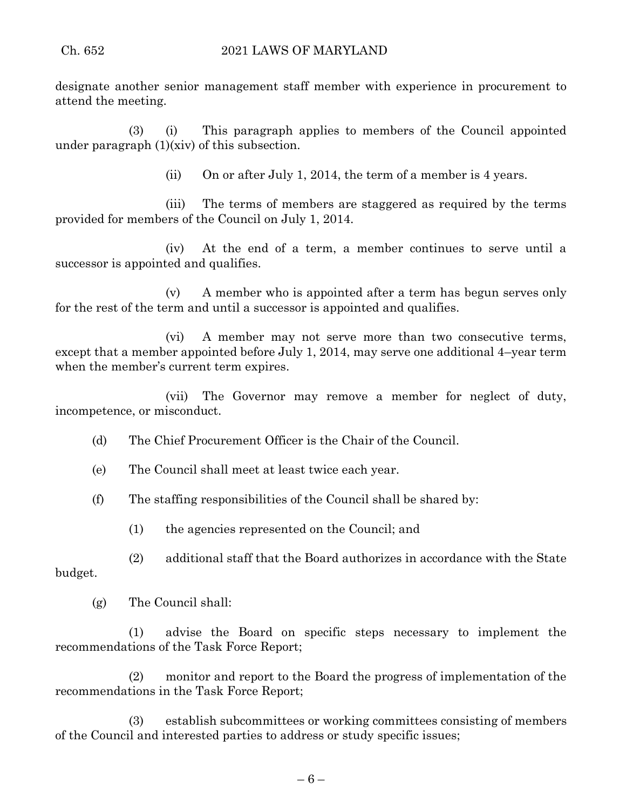designate another senior management staff member with experience in procurement to attend the meeting.

(3) (i) This paragraph applies to members of the Council appointed under paragraph (1)(xiv) of this subsection.

(ii) On or after July 1, 2014, the term of a member is 4 years.

(iii) The terms of members are staggered as required by the terms provided for members of the Council on July 1, 2014.

(iv) At the end of a term, a member continues to serve until a successor is appointed and qualifies.

(v) A member who is appointed after a term has begun serves only for the rest of the term and until a successor is appointed and qualifies.

(vi) A member may not serve more than two consecutive terms, except that a member appointed before July 1, 2014, may serve one additional 4–year term when the member's current term expires.

(vii) The Governor may remove a member for neglect of duty, incompetence, or misconduct.

(d) The Chief Procurement Officer is the Chair of the Council.

(e) The Council shall meet at least twice each year.

(f) The staffing responsibilities of the Council shall be shared by:

(1) the agencies represented on the Council; and

(2) additional staff that the Board authorizes in accordance with the State budget.

(g) The Council shall:

(1) advise the Board on specific steps necessary to implement the recommendations of the Task Force Report;

(2) monitor and report to the Board the progress of implementation of the recommendations in the Task Force Report;

(3) establish subcommittees or working committees consisting of members of the Council and interested parties to address or study specific issues;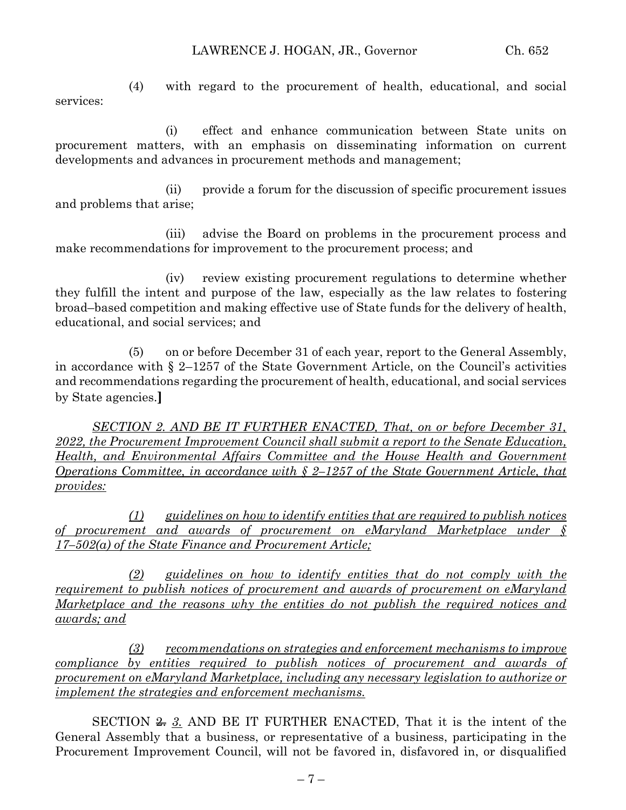(4) with regard to the procurement of health, educational, and social services:

(i) effect and enhance communication between State units on procurement matters, with an emphasis on disseminating information on current developments and advances in procurement methods and management;

(ii) provide a forum for the discussion of specific procurement issues and problems that arise;

(iii) advise the Board on problems in the procurement process and make recommendations for improvement to the procurement process; and

(iv) review existing procurement regulations to determine whether they fulfill the intent and purpose of the law, especially as the law relates to fostering broad–based competition and making effective use of State funds for the delivery of health, educational, and social services; and

(5) on or before December 31 of each year, report to the General Assembly, in accordance with § 2–1257 of the State Government Article, on the Council's activities and recommendations regarding the procurement of health, educational, and social services by State agencies.**]**

*SECTION 2. AND BE IT FURTHER ENACTED, That, on or before December 31, 2022, the Procurement Improvement Council shall submit a report to the Senate Education, Health, and Environmental Affairs Committee and the House Health and Government Operations Committee, in accordance with § 2–1257 of the State Government Article, that provides:*

*(1) guidelines on how to identify entities that are required to publish notices of procurement and awards of procurement on eMaryland Marketplace under § 17–502(a) of the State Finance and Procurement Article;*

*(2) guidelines on how to identify entities that do not comply with the requirement to publish notices of procurement and awards of procurement on eMaryland Marketplace and the reasons why the entities do not publish the required notices and awards; and*

*(3) recommendations on strategies and enforcement mechanisms to improve compliance by entities required to publish notices of procurement and awards of procurement on eMaryland Marketplace, including any necessary legislation to authorize or implement the strategies and enforcement mechanisms.*

SECTION 2. *3.* AND BE IT FURTHER ENACTED, That it is the intent of the General Assembly that a business, or representative of a business, participating in the Procurement Improvement Council, will not be favored in, disfavored in, or disqualified